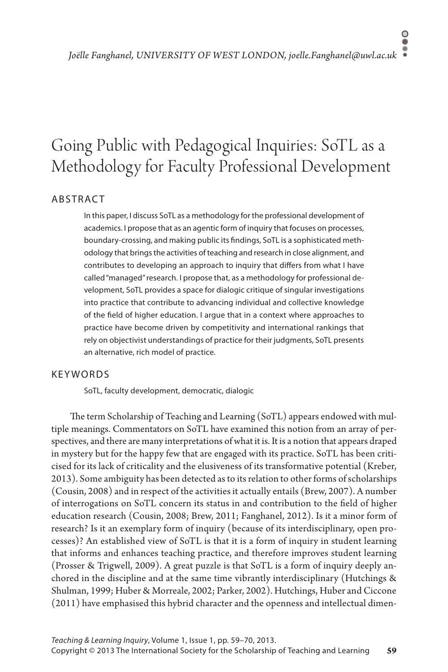# Going Public with Pedagogical Inquiries: SoTL as a Methodology for Faculty Professional Development

# **ABSTRACT**

In this paper, I discuss SoTL as a methodology for the professional development of academics. I propose that as an agentic form of inquiry that focuses on processes, boundary-crossing, and making public its findings, SoTL is a sophisticated methodology that brings the activities of teaching and research in close alignment, and contributes to developing an approach to inquiry that differs from what I have called "managed" research. I propose that, as a methodology for professional development, SoTL provides a space for dialogic critique of singular investigations into practice that contribute to advancing individual and collective knowledge of the field of higher education. I argue that in a context where approaches to practice have become driven by competitivity and international rankings that rely on objectivist understandings of practice for their judgments, SoTL presents an alternative, rich model of practice.

# **KEYWORDS**

SoTL, faculty development, democratic, dialogic

The term Scholarship of Teaching and Learning (SoTL) appears endowed with multiple meanings. Commentators on SoTL have examined this notion from an array of perspectives, and there are many interpretations of what it is. It is a notion that appears draped in mystery but for the happy few that are engaged with its practice. SoTL has been criticised for its lack of criticality and the elusiveness of its transformative potential (Kreber, 2013). Some ambiguity has been detected as to its relation to other forms of scholarships (Cousin, 2008) and in respect of the activities it actually entails (Brew, 2007). A number of interrogations on SoTL concern its status in and contribution to the field of higher education research (Cousin, 2008; Brew, 2011; Fanghanel, 2012). Is it a minor form of research? Is it an exemplary form of inquiry (because of its interdisciplinary, open processes)? An established view of SoTL is that it is a form of inquiry in student learning that informs and enhances teaching practice, and therefore improves student learning (Prosser & Trigwell, 2009). A great puzzle is that SoTL is a form of inquiry deeply anchored in the discipline and at the same time vibrantly interdisciplinary (Hutchings & Shulman, 1999; Huber & Morreale, 2002; Parker, 2002). Hutchings, Huber and Ciccone (2011) have emphasised this hybrid character and the openness and intellectual dimen-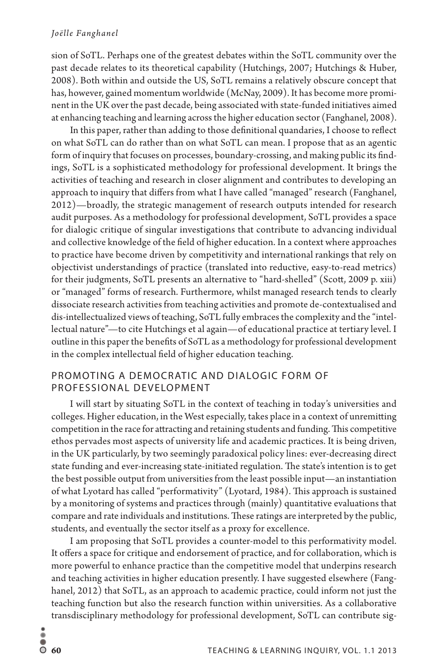#### *Joëlle Fanghanel*

sion of SoTL. Perhaps one of the greatest debates within the SoTL community over the past decade relates to its theoretical capability (Hutchings, 2007; Hutchings & Huber, 2008). Both within and outside the US, SoTL remains a relatively obscure concept that has, however, gained momentum worldwide (McNay, 2009). It has become more prominent in the UK over the past decade, being associated with state-funded initiatives aimed at enhancing teaching and learning across the higher education sector (Fanghanel, 2008).

In this paper, rather than adding to those definitional quandaries, I choose to reflect on what SoTL can do rather than on what SoTL can mean. I propose that as an agentic form of inquiry that focuses on processes, boundary-crossing, and making public its findings, SoTL is a sophisticated methodology for professional development. It brings the activities of teaching and research in closer alignment and contributes to developing an approach to inquiry that differs from what I have called "managed" research (Fanghanel, 2012)—broadly, the strategic management of research outputs intended for research audit purposes. As a methodology for professional development, SoTL provides a space for dialogic critique of singular investigations that contribute to advancing individual and collective knowledge of the field of higher education. In a context where approaches to practice have become driven by competitivity and international rankings that rely on objectivist understandings of practice (translated into reductive, easy-to-read metrics) for their judgments, SoTL presents an alternative to "hard-shelled" (Scott, 2009 p. xiii) or "managed" forms of research. Furthermore, whilst managed research tends to clearly dissociate research activities from teaching activities and promote de-contextualised and dis-intellectualized views of teaching, SoTL fully embraces the complexity and the "intellectual nature"—to cite Hutchings et al again—of educational practice at tertiary level. I outline in this paper the benefits of SoTL as a methodology for professional development in the complex intellectual field of higher education teaching.

#### PROMOTING A DEMOCRATIC AND DIALOGIC FORM OF Professional Development

I will start by situating SoTL in the context of teaching in today's universities and colleges. Higher education, in the West especially, takes place in a context of unremitting competition in the race for attracting and retaining students and funding. This competitive ethos pervades most aspects of university life and academic practices. It is being driven, in the UK particularly, by two seemingly paradoxical policy lines: ever-decreasing direct state funding and ever-increasing state-initiated regulation. The state's intention is to get the best possible output from universities from the least possible input—an instantiation of what Lyotard has called "performativity" (Lyotard, 1984). This approach is sustained by a monitoring of systems and practices through (mainly) quantitative evaluations that compare and rate individuals and institutions. These ratings are interpreted by the public, students, and eventually the sector itself as a proxy for excellence.

I am proposing that SoTL provides a counter-model to this performativity model. It offers a space for critique and endorsement of practice, and for collaboration, which is more powerful to enhance practice than the competitive model that underpins research and teaching activities in higher education presently. I have suggested elsewhere (Fanghanel, 2012) that SoTL, as an approach to academic practice, could inform not just the teaching function but also the research function within universities. As a collaborative transdisciplinary methodology for professional development, SoTL can contribute sig-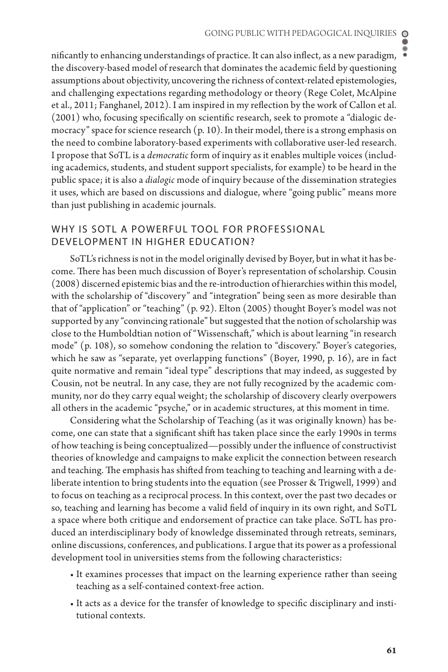nificantly to enhancing understandings of practice. It can also inflect, as a new paradigm, the discovery-based model of research that dominates the academic field by questioning assumptions about objectivity, uncovering the richness of context-related epistemologies, and challenging expectations regarding methodology or theory (Rege Colet, McAlpine et al., 2011; Fanghanel, 2012). I am inspired in my reflection by the work of Callon et al. (2001) who, focusing specifically on scientific research, seek to promote a "dialogic democracy" space for science research  $(p, 10)$ . In their model, there is a strong emphasis on the need to combine laboratory-based experiments with collaborative user-led research. I propose that SoTL is a *democratic* form of inquiry as it enables multiple voices (including academics, students, and student support specialists, for example) to be heard in the public space; it is also a *dialogic* mode of inquiry because of the dissemination strategies it uses, which are based on discussions and dialogue, where "going public" means more than just publishing in academic journals.

## WHY IS SOTL A POWERFUL TOOL FOR PROFESSIONAL Development in Higher Education?

SoTL's richness is not in the model originally devised by Boyer, but in what it has become. There has been much discussion of Boyer's representation of scholarship. Cousin (2008) discerned epistemic bias and the re-introduction of hierarchies within this model, with the scholarship of "discovery" and "integration" being seen as more desirable than that of "application" or "teaching" (p. 92). Elton (2005) thought Boyer's model was not supported by any "convincing rationale" but suggested that the notion of scholarship was close to the Humboldtian notion of "Wissenschaft," which is about learning "in research mode" (p. 108), so somehow condoning the relation to "discovery." Boyer's categories, which he saw as "separate, yet overlapping functions" (Boyer, 1990, p. 16), are in fact quite normative and remain "ideal type" descriptions that may indeed, as suggested by Cousin, not be neutral. In any case, they are not fully recognized by the academic community, nor do they carry equal weight; the scholarship of discovery clearly overpowers all others in the academic "psyche," or in academic structures, at this moment in time.

Considering what the Scholarship of Teaching (as it was originally known) has become, one can state that a significant shift has taken place since the early 1990s in terms of how teaching is being conceptualized—possibly under the influence of constructivist theories of knowledge and campaigns to make explicit the connection between research and teaching. The emphasis has shifted from teaching to teaching and learning with a deliberate intention to bring students into the equation (see Prosser & Trigwell, 1999) and to focus on teaching as a reciprocal process. In this context, over the past two decades or so, teaching and learning has become a valid field of inquiry in its own right, and SoTL a space where both critique and endorsement of practice can take place. SoTL has produced an interdisciplinary body of knowledge disseminated through retreats, seminars, online discussions, conferences, and publications. I argue that its power as a professional development tool in universities stems from the following characteristics:

- It examines processes that impact on the learning experience rather than seeing teaching as a self-contained context-free action.
- It acts as a device for the transfer of knowledge to specific disciplinary and institutional contexts.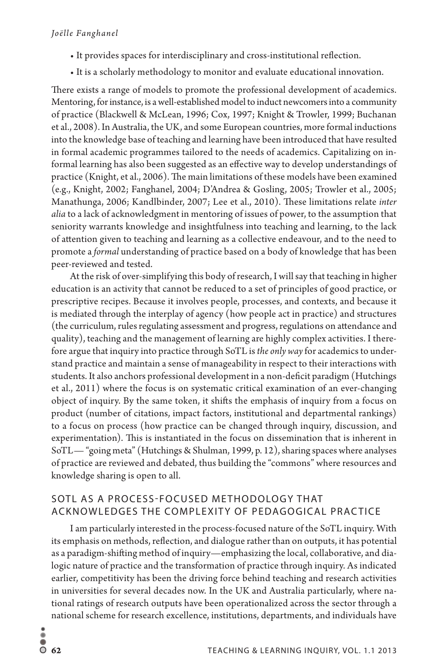- It provides spaces for interdisciplinary and cross-institutional reflection.
- It is a scholarly methodology to monitor and evaluate educational innovation.

There exists a range of models to promote the professional development of academics. Mentoring, for instance, is a well-established model to induct newcomers into a community of practice (Blackwell & McLean, 1996; Cox, 1997; Knight & Trowler, 1999; Buchanan et al., 2008). In Australia, the UK, and some European countries, more formal inductions into the knowledge base of teaching and learning have been introduced that have resulted in formal academic programmes tailored to the needs of academics. Capitalizing on informal learning has also been suggested as an effective way to develop understandings of practice (Knight, et al., 2006). The main limitations of these models have been examined (e.g., Knight, 2002; Fanghanel, 2004; D'Andrea & Gosling, 2005; Trowler et al., 2005; Manathunga, 2006; Kandlbinder, 2007; Lee et al., 2010). These limitations relate *inter alia* to a lack of acknowledgment in mentoring of issues of power, to the assumption that seniority warrants knowledge and insightfulness into teaching and learning, to the lack of attention given to teaching and learning as a collective endeavour, and to the need to promote a *formal* understanding of practice based on a body of knowledge that has been peer-reviewed and tested.

At the risk of over-simplifying this body of research, I will say that teaching in higher education is an activity that cannot be reduced to a set of principles of good practice, or prescriptive recipes. Because it involves people, processes, and contexts, and because it is mediated through the interplay of agency (how people act in practice) and structures (the curriculum, rules regulating assessment and progress, regulations on attendance and quality), teaching and the management of learning are highly complex activities. I therefore argue that inquiry into practice through SoTL is *the only way* for academics to understand practice and maintain a sense of manageability in respect to their interactions with students. It also anchors professional development in a non-deficit paradigm (Hutchings et al., 2011) where the focus is on systematic critical examination of an ever-changing object of inquiry. By the same token, it shifts the emphasis of inquiry from a focus on product (number of citations, impact factors, institutional and departmental rankings) to a focus on process (how practice can be changed through inquiry, discussion, and experimentation). This is instantiated in the focus on dissemination that is inherent in SoTL— "going meta" (Hutchings & Shulman, 1999, p. 12), sharing spaces where analyses of practice are reviewed and debated, thus building the "commons" where resources and knowledge sharing is open to all.

# SoTL as a Process-Focused Methodology that ACKNOWLEDGES THE COMPLEXITY OF PEDAGOGICAL PRACTICE

I am particularly interested in the process-focused nature of the SoTL inquiry. With its emphasis on methods, reflection, and dialogue rather than on outputs, it has potential as a paradigm-shifting method of inquiry—emphasizing the local, collaborative, and dialogic nature of practice and the transformation of practice through inquiry. As indicated earlier, competitivity has been the driving force behind teaching and research activities in universities for several decades now. In the UK and Australia particularly, where national ratings of research outputs have been operationalized across the sector through a national scheme for research excellence, institutions, departments, and individuals have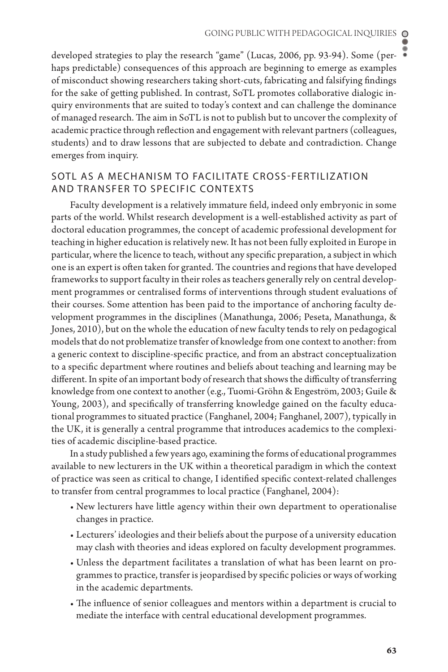developed strategies to play the research "game" (Lucas, 2006, pp. 93-94). Some (perhaps predictable) consequences of this approach are beginning to emerge as examples of misconduct showing researchers taking short-cuts, fabricating and falsifying findings for the sake of getting published. In contrast, SoTL promotes collaborative dialogic inquiry environments that are suited to today's context and can challenge the dominance of managed research. The aim in SoTL is not to publish but to uncover the complexity of academic practice through reflection and engagement with relevant partners (colleagues, students) and to draw lessons that are subjected to debate and contradiction. Change emerges from inquiry.

### SoTL as a Mechanism to Facilitate Cross-Fertilization and Transfer to Specific Contexts

Faculty development is a relatively immature field, indeed only embryonic in some parts of the world. Whilst research development is a well-established activity as part of doctoral education programmes, the concept of academic professional development for teaching in higher education is relatively new. It has not been fully exploited in Europe in particular, where the licence to teach, without any specific preparation, a subject in which one is an expert is often taken for granted. The countries and regions that have developed frameworks to support faculty in their roles as teachers generally rely on central development programmes or centralised forms of interventions through student evaluations of their courses. Some attention has been paid to the importance of anchoring faculty development programmes in the disciplines (Manathunga, 2006; Peseta, Manathunga, & Jones, 2010), but on the whole the education of new faculty tends to rely on pedagogical models that do not problematize transfer of knowledge from one context to another: from a generic context to discipline-specific practice, and from an abstract conceptualization to a specific department where routines and beliefs about teaching and learning may be different. In spite of an important body of research that shows the difficulty of transferring knowledge from one context to another (e.g., Tuomi-Gröhn & Engeström, 2003; Guile & Young, 2003), and specifically of transferring knowledge gained on the faculty educational programmes to situated practice (Fanghanel, 2004; Fanghanel, 2007), typically in the UK, it is generally a central programme that introduces academics to the complexities of academic discipline-based practice.

In a study published a few years ago, examining the forms of educational programmes available to new lecturers in the UK within a theoretical paradigm in which the context of practice was seen as critical to change, I identified specific context-related challenges to transfer from central programmes to local practice (Fanghanel, 2004):

- New lecturers have little agency within their own department to operationalise changes in practice.
- Lecturers' ideologies and their beliefs about the purpose of a university education may clash with theories and ideas explored on faculty development programmes.
- Unless the department facilitates a translation of what has been learnt on programmes to practice, transfer is jeopardised by specific policies or ways of working in the academic departments.
- The influence of senior colleagues and mentors within a department is crucial to mediate the interface with central educational development programmes.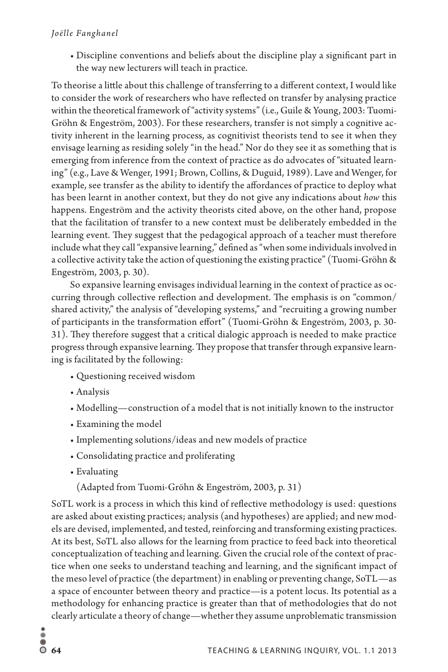• Discipline conventions and beliefs about the discipline play a significant part in the way new lecturers will teach in practice.

To theorise a little about this challenge of transferring to a different context, I would like to consider the work of researchers who have reflected on transfer by analysing practice within the theoretical framework of "activity systems" (i.e., Guile & Young, 2003: Tuomi-Gröhn & Engeström, 2003). For these researchers, transfer is not simply a cognitive activity inherent in the learning process, as cognitivist theorists tend to see it when they envisage learning as residing solely "in the head." Nor do they see it as something that is emerging from inference from the context of practice as do advocates of "situated learning" (e.g., Lave & Wenger, 1991; Brown, Collins, & Duguid, 1989). Lave and Wenger, for example, see transfer as the ability to identify the affordances of practice to deploy what has been learnt in another context, but they do not give any indications about *how* this happens. Engeström and the activity theorists cited above, on the other hand, propose that the facilitation of transfer to a new context must be deliberately embedded in the learning event. They suggest that the pedagogical approach of a teacher must therefore include what they call "expansive learning," defined as "when some individuals involved in a collective activity take the action of questioning the existing practice" (Tuomi-Gröhn & Engeström, 2003, p. 30).

So expansive learning envisages individual learning in the context of practice as occurring through collective reflection and development. The emphasis is on "common/ shared activity," the analysis of "developing systems," and "recruiting a growing number of participants in the transformation effort" (Tuomi-Gröhn & Engeström, 2003, p. 30- 31). They therefore suggest that a critical dialogic approach is needed to make practice progress through expansive learning. They propose that transfer through expansive learning is facilitated by the following:

- Questioning received wisdom
- Analysis
- Modelling—construction of a model that is not initially known to the instructor
- Examining the model
- Implementing solutions/ideas and new models of practice
- Consolidating practice and proliferating
- Evaluating

(Adapted from Tuomi-Gröhn & Engeström, 2003, p. 31)

SoTL work is a process in which this kind of reflective methodology is used: questions are asked about existing practices; analysis (and hypotheses) are applied; and new models are devised, implemented, and tested, reinforcing and transforming existing practices. At its best, SoTL also allows for the learning from practice to feed back into theoretical conceptualization of teaching and learning. Given the crucial role of the context of practice when one seeks to understand teaching and learning, and the significant impact of the meso level of practice (the department) in enabling or preventing change, SoTL—as a space of encounter between theory and practice—is a potent locus. Its potential as a methodology for enhancing practice is greater than that of methodologies that do not clearly articulate a theory of change—whether they assume unproblematic transmission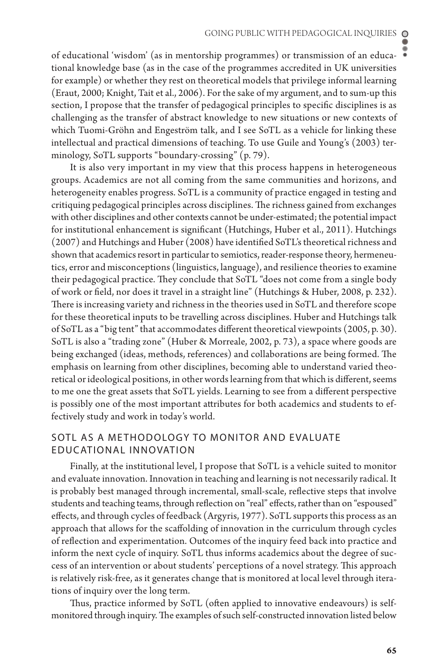of educational 'wisdom' (as in mentorship programmes) or transmission of an educational knowledge base (as in the case of the programmes accredited in UK universities for example) or whether they rest on theoretical models that privilege informal learning (Eraut, 2000; Knight, Tait et al., 2006). For the sake of my argument, and to sum-up this section, I propose that the transfer of pedagogical principles to specific disciplines is as challenging as the transfer of abstract knowledge to new situations or new contexts of which Tuomi-Gröhn and Engeström talk, and I see SoTL as a vehicle for linking these intellectual and practical dimensions of teaching. To use Guile and Young's (2003) terminology, SoTL supports "boundary-crossing" (p. 79).

It is also very important in my view that this process happens in heterogeneous groups. Academics are not all coming from the same communities and horizons, and heterogeneity enables progress. SoTL is a community of practice engaged in testing and critiquing pedagogical principles across disciplines. The richness gained from exchanges with other disciplines and other contexts cannot be under-estimated; the potential impact for institutional enhancement is significant (Hutchings, Huber et al., 2011). Hutchings (2007) and Hutchings and Huber (2008) have identified SoTL's theoretical richness and shown that academics resort in particular to semiotics, reader-response theory, hermeneutics, error and misconceptions (linguistics, language), and resilience theories to examine their pedagogical practice. They conclude that SoTL "does not come from a single body of work or field, nor does it travel in a straight line" (Hutchings & Huber, 2008, p. 232). There is increasing variety and richness in the theories used in SoTL and therefore scope for these theoretical inputs to be travelling across disciplines. Huber and Hutchings talk of SoTL as a "big tent" that accommodates different theoretical viewpoints (2005, p. 30). SoTL is also a "trading zone" (Huber & Morreale, 2002, p. 73), a space where goods are being exchanged (ideas, methods, references) and collaborations are being formed. The emphasis on learning from other disciplines, becoming able to understand varied theoretical or ideological positions, in other words learning from that which is different, seems to me one the great assets that SoTL yields. Learning to see from a different perspective is possibly one of the most important attributes for both academics and students to effectively study and work in today's world.

## SoTL as a Methodology to Monitor and Evaluate Educational Innovation

Finally, at the institutional level, I propose that SoTL is a vehicle suited to monitor and evaluate innovation. Innovation in teaching and learning is not necessarily radical. It is probably best managed through incremental, small-scale, reflective steps that involve students and teaching teams, through reflection on "real" effects, rather than on "espoused" effects, and through cycles of feedback (Argyris, 1977). SoTL supports this process as an approach that allows for the scaffolding of innovation in the curriculum through cycles of reflection and experimentation. Outcomes of the inquiry feed back into practice and inform the next cycle of inquiry. SoTL thus informs academics about the degree of success of an intervention or about students' perceptions of a novel strategy. This approach is relatively risk-free, as it generates change that is monitored at local level through iterations of inquiry over the long term.

Thus, practice informed by SoTL (often applied to innovative endeavours) is selfmonitored through inquiry. The examples of such self-constructed innovation listed below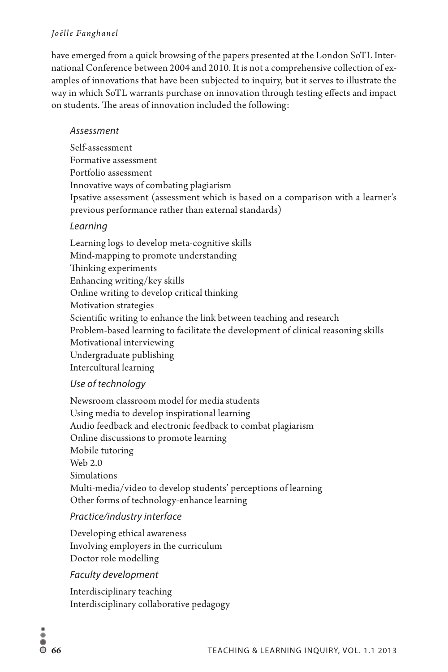### *Joëlle Fanghanel*

have emerged from a quick browsing of the papers presented at the London SoTL International Conference between 2004 and 2010. It is not a comprehensive collection of examples of innovations that have been subjected to inquiry, but it serves to illustrate the way in which SoTL warrants purchase on innovation through testing effects and impact on students. The areas of innovation included the following:

### *Assessment*

Self-assessment Formative assessment Portfolio assessment Innovative ways of combating plagiarism Ipsative assessment (assessment which is based on a comparison with a learner's previous performance rather than external standards)

# *Learning*

Learning logs to develop meta-cognitive skills Mind-mapping to promote understanding Thinking experiments Enhancing writing/key skills Online writing to develop critical thinking Motivation strategies Scientific writing to enhance the link between teaching and research Problem-based learning to facilitate the development of clinical reasoning skills Motivational interviewing Undergraduate publishing Intercultural learning

# *Use of technology*

Newsroom classroom model for media students Using media to develop inspirational learning Audio feedback and electronic feedback to combat plagiarism Online discussions to promote learning Mobile tutoring Web 2.0 Simulations Multi-media/video to develop students' perceptions of learning Other forms of technology-enhance learning

# *Practice/industry interface*

Developing ethical awareness Involving employers in the curriculum Doctor role modelling

# *Faculty development*

Interdisciplinary teaching Interdisciplinary collaborative pedagogy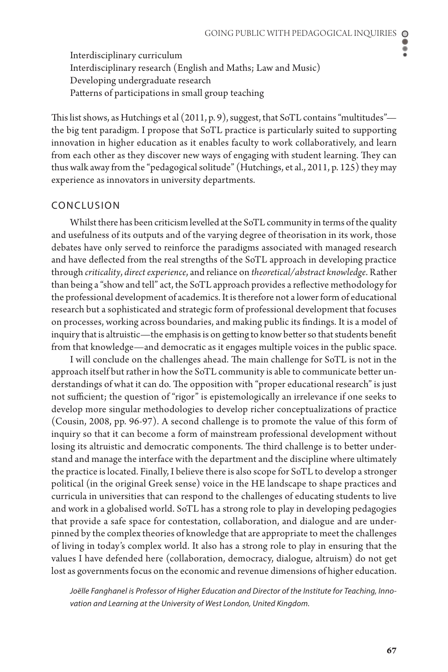Interdisciplinary curriculum Interdisciplinary research (English and Maths; Law and Music) Developing undergraduate research Patterns of participations in small group teaching

This list shows, as Hutchings et al  $(2011, p. 9)$ , suggest, that SoTL contains "multitudes" the big tent paradigm. I propose that SoTL practice is particularly suited to supporting innovation in higher education as it enables faculty to work collaboratively, and learn from each other as they discover new ways of engaging with student learning. They can thus walk away from the "pedagogical solitude" (Hutchings, et al., 2011, p. 125) they may experience as innovators in university departments.

#### Conclusion

Whilst there has been criticism levelled at the SoTL community in terms of the quality and usefulness of its outputs and of the varying degree of theorisation in its work, those debates have only served to reinforce the paradigms associated with managed research and have deflected from the real strengths of the SoTL approach in developing practice through *criticality*, *direct experience*, and reliance on *theoretical/abstract knowledge*. Rather than being a "show and tell" act, the SoTL approach provides a reflective methodology for the professional development of academics. It is therefore not a lower form of educational research but a sophisticated and strategic form of professional development that focuses on processes, working across boundaries, and making public its findings. It is a model of inquiry that is altruistic—the emphasis is on getting to know better so that students benefit from that knowledge—and democratic as it engages multiple voices in the public space.

I will conclude on the challenges ahead. The main challenge for SoTL is not in the approach itself but rather in how the SoTL community is able to communicate better understandings of what it can do. The opposition with "proper educational research" is just not sufficient; the question of "rigor" is epistemologically an irrelevance if one seeks to develop more singular methodologies to develop richer conceptualizations of practice (Cousin, 2008, pp. 96-97). A second challenge is to promote the value of this form of inquiry so that it can become a form of mainstream professional development without losing its altruistic and democratic components. The third challenge is to better understand and manage the interface with the department and the discipline where ultimately the practice is located. Finally, I believe there is also scope for SoTL to develop a stronger political (in the original Greek sense) voice in the HE landscape to shape practices and curricula in universities that can respond to the challenges of educating students to live and work in a globalised world. SoTL has a strong role to play in developing pedagogies that provide a safe space for contestation, collaboration, and dialogue and are underpinned by the complex theories of knowledge that are appropriate to meet the challenges of living in today's complex world. It also has a strong role to play in ensuring that the values I have defended here (collaboration, democracy, dialogue, altruism) do not get lost as governments focus on the economic and revenue dimensions of higher education.

*Joëlle Fanghanel is Professor of Higher Education and Director of the Institute for Teaching, Innovation and Learning at the University of West London, United Kingdom.*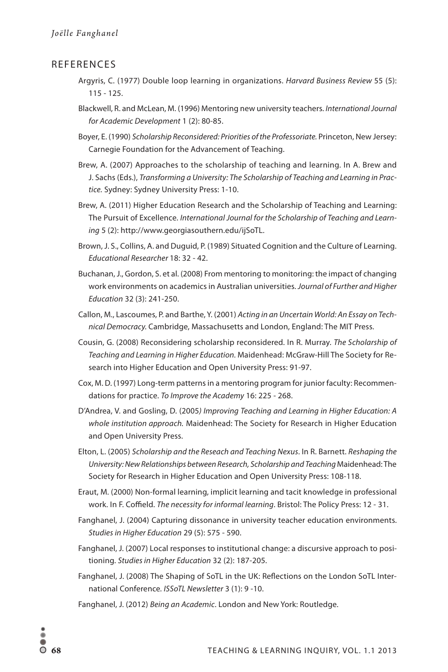#### **REFERENCES**

- Argyris, C. (1977) Double loop learning in organizations. *Harvard Business Review* 55 (5): 115 - 125.
- Blackwell, R. and McLean, M. (1996) Mentoring new university teachers. *International Journal for Academic Development* 1 (2): 80-85.
- Boyer, E. (1990) *Scholarship Reconsidered: Priorities of the Professoriate.* Princeton, New Jersey: Carnegie Foundation for the Advancement of Teaching.
- Brew, A. (2007) Approaches to the scholarship of teaching and learning. In A. Brew and J. Sachs (Eds.), *Transforming a University: The Scholarship of Teaching and Learning in Practice.* Sydney: Sydney University Press: 1-10.
- Brew, A. (2011) Higher Education Research and the Scholarship of Teaching and Learning: The Pursuit of Excellence. *International Journal for the Scholarship of Teaching and Learning* 5 (2): http://www.georgiasouthern.edu/ijSoTL.
- Brown, J. S., Collins, A. and Duguid, P. (1989) Situated Cognition and the Culture of Learning. *Educational Researcher* 18: 32 - 42.
- Buchanan, J., Gordon, S. et al. (2008) From mentoring to monitoring: the impact of changing work environments on academics in Australian universities. *Journal of Further and Higher Education* 32 (3): 241-250.
- Callon, M., Lascoumes, P. and Barthe, Y. (2001) *Acting in an Uncertain World: An Essay on Technical Democracy.* Cambridge, Massachusetts and London, England: The MIT Press.
- Cousin, G. (2008) Reconsidering scholarship reconsidered. In R. Murray. *The Scholarship of Teaching and Learning in Higher Education.* Maidenhead: McGraw-Hill The Society for Research into Higher Education and Open University Press: 91-97.
- Cox, M. D. (1997) Long-term patterns in a mentoring program for junior faculty: Recommendations for practice. *To Improve the Academy* 16: 225 - 268.
- D'Andrea, V. and Gosling, D. (2005*) Improving Teaching and Learning in Higher Education: A whole institution approach.* Maidenhead: The Society for Research in Higher Education and Open University Press.
- Elton, L. (2005) *Scholarship and the Reseach and Teaching Nexus*. In R. Barnett. *Reshaping the University: New Relationships between Research, Scholarship and Teaching* Maidenhead: The Society for Research in Higher Education and Open University Press: 108-118.
- Eraut, M. (2000) Non-formal learning, implicit learning and tacit knowledge in professional work. In F. Coffield. *The necessity for informal learning*. Bristol: The Policy Press: 12 - 31.
- Fanghanel, J. (2004) Capturing dissonance in university teacher education environments. *Studies in Higher Education* 29 (5): 575 - 590.
- Fanghanel, J. (2007) Local responses to institutional change: a discursive approach to positioning. *Studies in Higher Education* 32 (2): 187-205.
- Fanghanel, J. (2008) The Shaping of SoTL in the UK: Reflections on the London SoTL International Conference*. ISSoTL Newsletter* 3 (1): 9 -10.
- Fanghanel, J. (2012) *Being an Academic*. London and New York: Routledge.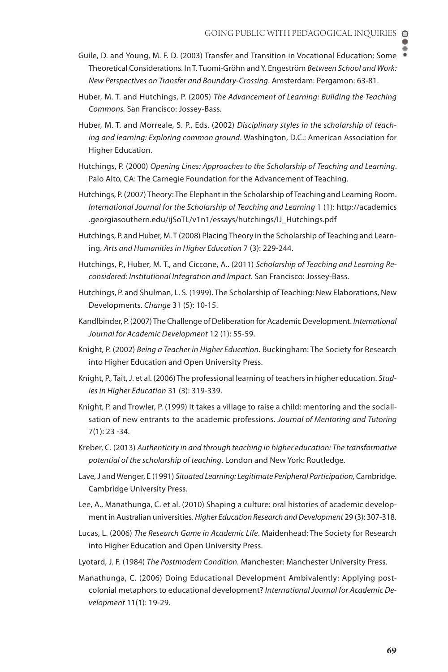- Guile, D. and Young, M. F. D. (2003) Transfer and Transition in Vocational Education: Some Theoretical Considerations. In T. Tuomi-Gröhn and Y. Engeström *Between School and Work: New Perspectives on Transfer and Boundary-Crossing*. Amsterdam: Pergamon: 63-81.
- Huber, M. T. and Hutchings, P. (2005) *The Advancement of Learning: Building the Teaching Commons.* San Francisco: Jossey-Bass.
- Huber, M. T. and Morreale, S. P., Eds. (2002) *Disciplinary styles in the scholarship of teaching and learning: Exploring common ground*. Washington, D.C.: American Association for Higher Education.
- Hutchings, P. (2000) *Opening Lines: Approaches to the Scholarship of Teaching and Learning*. Palo Alto, CA: The Carnegie Foundation for the Advancement of Teaching.
- Hutchings, P. (2007) Theory: The Elephant in the Scholarship of Teaching and Learning Room. *International Journal for the Scholarship of Teaching and Learning* 1 (1): http://academics .georgiasouthern.edu/ijSoTL/v1n1/essays/hutchings/IJ\_Hutchings.pdf
- Hutchings, P. and Huber, M. T (2008) Placing Theory in the Scholarship of Teaching and Learning. *Arts and Humanities in Higher Education* 7 (3): 229-244.
- Hutchings, P., Huber, M. T., and Ciccone, A.. (2011) *Scholarship of Teaching and Learning Reconsidered: Institutional Integration and Impact*. San Francisco: Jossey-Bass.
- Hutchings, P. and Shulman, L. S. (1999). The Scholarship of Teaching: New Elaborations, New Developments. *Change* 31 (5): 10-15.
- Kandlbinder, P. (2007) The Challenge of Deliberation for Academic Development. *International Journal for Academic Development* 12 (1): 55-59.
- Knight, P. (2002) *Being a Teacher in Higher Education*. Buckingham: The Society for Research into Higher Education and Open University Press.
- Knight, P., Tait, J. et al. (2006) The professional learning of teachers in higher education. *Studies in Higher Education* 31 (3): 319-339.
- Knight, P. and Trowler, P. (1999) It takes a village to raise a child: mentoring and the socialisation of new entrants to the academic professions. *Journal of Mentoring and Tutoring*  7(1): 23 -34.
- Kreber, C. (2013) *Authenticity in and through teaching in higher education: The transformative potential of the scholarship of teaching*. London and New York: Routledge.
- Lave, J and Wenger, E (1991) *Situated Learning: Legitimate Peripheral Participation*, Cambridge. Cambridge University Press.
- Lee, A., Manathunga, C. et al. (2010) Shaping a culture: oral histories of academic development in Australian universities. *Higher Education Research and Development* 29 (3): 307-318.
- Lucas, L. (2006) *The Research Game in Academic Life*. Maidenhead: The Society for Research into Higher Education and Open University Press.
- Lyotard, J. F. (1984) *The Postmodern Condition.* Manchester: Manchester University Press.
- Manathunga, C. (2006) Doing Educational Development Ambivalently: Applying postcolonial metaphors to educational development? *International Journal for Academic Development* 11(1): 19-29.